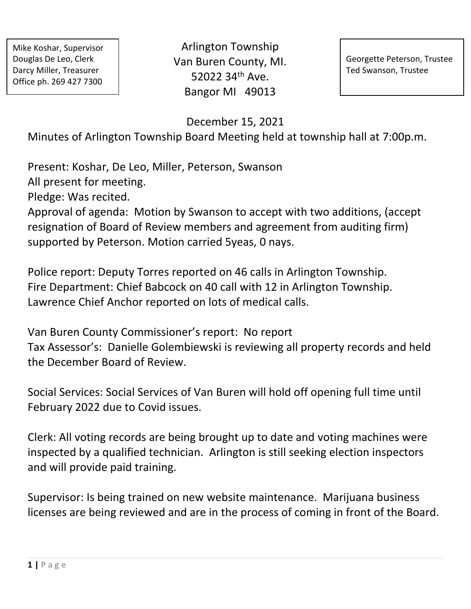Arlington Township Van Buren County, MI. 52022 34th Ave. Bangor MI 49013

Georgette Peterson, Trustee Ted Swanson, Trustee

December 15, 2021

Minutes of Arlington Township Board Meeting held at township hall at 7:00p.m.

Present: Koshar, De Leo, Miller, Peterson, Swanson All present for meeting.

Pledge: Was recited.

Approval of agenda: Motion by Swanson to accept with two additions, (accept resignation of Board of Review members and agreement from auditing firm) supported by Peterson. Motion carried 5yeas, 0 nays.

Police report: Deputy Torres reported on 46 calls in Arlington Township. Fire Department: Chief Babcock on 40 call with 12 in Arlington Township. Lawrence Chief Anchor reported on lots of medical calls.

Van Buren County Commissioner's report: No report Tax Assessor's: Danielle Golembiewski is reviewing all property records and held the December Board of Review.

Social Services: Social Services of Van Buren will hold off opening full time until February 2022 due to Covid issues.

Clerk: All voting records are being brought up to date and voting machines were inspected by a qualified technician. Arlington is still seeking election inspectors and will provide paid training.

Supervisor: Is being trained on new website maintenance. Marijuana business licenses are being reviewed and are in the process of coming in front of the Board.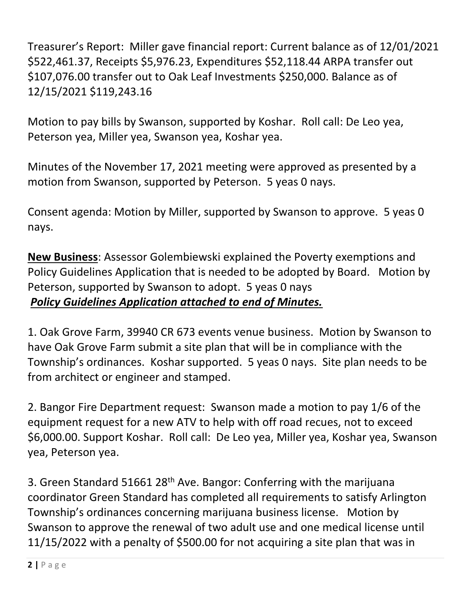Treasurer's Report: Miller gave financial report: Current balance as of 12/01/2021 \$522,461.37, Receipts \$5,976.23, Expenditures \$52,118.44 ARPA transfer out \$107,076.00 transfer out to Oak Leaf Investments \$250,000. Balance as of 12/15/2021 \$119,243.16

Motion to pay bills by Swanson, supported by Koshar. Roll call: De Leo yea, Peterson yea, Miller yea, Swanson yea, Koshar yea.

Minutes of the November 17, 2021 meeting were approved as presented by a motion from Swanson, supported by Peterson. 5 yeas 0 nays.

Consent agenda: Motion by Miller, supported by Swanson to approve. 5 yeas 0 nays.

**New Business**: Assessor Golembiewski explained the Poverty exemptions and Policy Guidelines Application that is needed to be adopted by Board. Motion by Peterson, supported by Swanson to adopt. 5 yeas 0 nays *Policy Guidelines Application attached to end of Minutes.* 

1. Oak Grove Farm, 39940 CR 673 events venue business. Motion by Swanson to have Oak Grove Farm submit a site plan that will be in compliance with the Township's ordinances. Koshar supported. 5 yeas 0 nays. Site plan needs to be from architect or engineer and stamped.

2. Bangor Fire Department request: Swanson made a motion to pay 1/6 of the equipment request for a new ATV to help with off road recues, not to exceed \$6,000.00. Support Koshar. Roll call: De Leo yea, Miller yea, Koshar yea, Swanson yea, Peterson yea.

3. Green Standard 51661 28th Ave. Bangor: Conferring with the marijuana coordinator Green Standard has completed all requirements to satisfy Arlington Township's ordinances concerning marijuana business license. Motion by Swanson to approve the renewal of two adult use and one medical license until 11/15/2022 with a penalty of \$500.00 for not acquiring a site plan that was in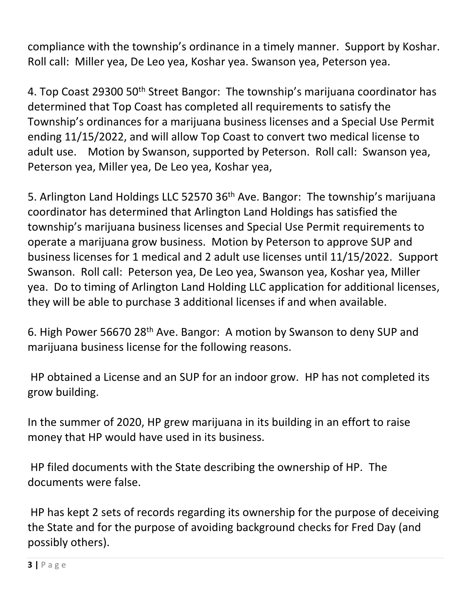compliance with the township's ordinance in a timely manner. Support by Koshar. Roll call: Miller yea, De Leo yea, Koshar yea. Swanson yea, Peterson yea.

4. Top Coast 29300 50<sup>th</sup> Street Bangor: The township's marijuana coordinator has determined that Top Coast has completed all requirements to satisfy the Township's ordinances for a marijuana business licenses and a Special Use Permit ending 11/15/2022, and will allow Top Coast to convert two medical license to adult use. Motion by Swanson, supported by Peterson. Roll call: Swanson yea, Peterson yea, Miller yea, De Leo yea, Koshar yea,

5. Arlington Land Holdings LLC 52570 36<sup>th</sup> Ave. Bangor: The township's marijuana coordinator has determined that Arlington Land Holdings has satisfied the township's marijuana business licenses and Special Use Permit requirements to operate a marijuana grow business. Motion by Peterson to approve SUP and business licenses for 1 medical and 2 adult use licenses until 11/15/2022. Support Swanson. Roll call: Peterson yea, De Leo yea, Swanson yea, Koshar yea, Miller yea. Do to timing of Arlington Land Holding LLC application for additional licenses, they will be able to purchase 3 additional licenses if and when available.

6. High Power 56670 28th Ave. Bangor: A motion by Swanson to deny SUP and marijuana business license for the following reasons.

HP obtained a License and an SUP for an indoor grow. HP has not completed its grow building.

In the summer of 2020, HP grew marijuana in its building in an effort to raise money that HP would have used in its business.

HP filed documents with the State describing the ownership of HP. The documents were false.

HP has kept 2 sets of records regarding its ownership for the purpose of deceiving the State and for the purpose of avoiding background checks for Fred Day (and possibly others).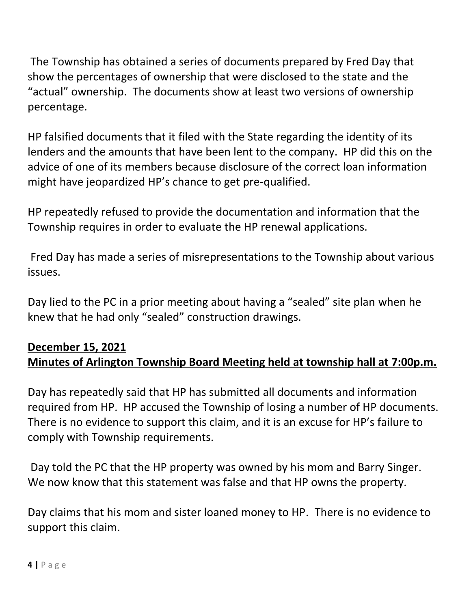The Township has obtained a series of documents prepared by Fred Day that show the percentages of ownership that were disclosed to the state and the "actual" ownership. The documents show at least two versions of ownership percentage.

HP falsified documents that it filed with the State regarding the identity of its lenders and the amounts that have been lent to the company. HP did this on the advice of one of its members because disclosure of the correct loan information might have jeopardized HP's chance to get pre-qualified.

HP repeatedly refused to provide the documentation and information that the Township requires in order to evaluate the HP renewal applications.

Fred Day has made a series of misrepresentations to the Township about various issues.

Day lied to the PC in a prior meeting about having a "sealed" site plan when he knew that he had only "sealed" construction drawings.

## **December 15, 2021 Minutes of Arlington Township Board Meeting held at township hall at 7:00p.m.**

Day has repeatedly said that HP has submitted all documents and information required from HP. HP accused the Township of losing a number of HP documents. There is no evidence to support this claim, and it is an excuse for HP's failure to comply with Township requirements.

Day told the PC that the HP property was owned by his mom and Barry Singer. We now know that this statement was false and that HP owns the property.

Day claims that his mom and sister loaned money to HP. There is no evidence to support this claim.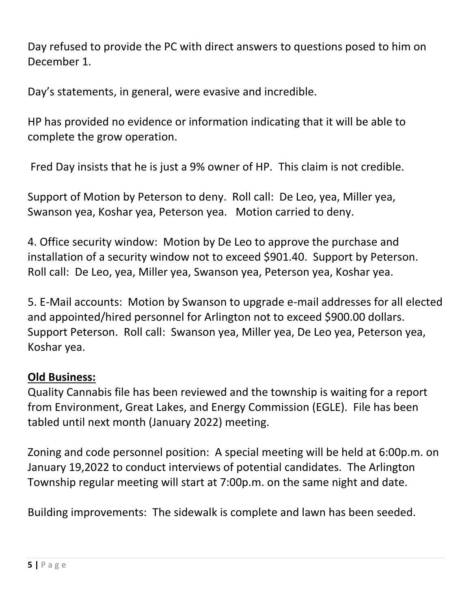Day refused to provide the PC with direct answers to questions posed to him on December 1.

Day's statements, in general, were evasive and incredible.

HP has provided no evidence or information indicating that it will be able to complete the grow operation.

Fred Day insists that he is just a 9% owner of HP. This claim is not credible.

Support of Motion by Peterson to deny. Roll call: De Leo, yea, Miller yea, Swanson yea, Koshar yea, Peterson yea. Motion carried to deny.

4. Office security window: Motion by De Leo to approve the purchase and installation of a security window not to exceed \$901.40. Support by Peterson. Roll call: De Leo, yea, Miller yea, Swanson yea, Peterson yea, Koshar yea.

5. E-Mail accounts: Motion by Swanson to upgrade e-mail addresses for all elected and appointed/hired personnel for Arlington not to exceed \$900.00 dollars. Support Peterson. Roll call: Swanson yea, Miller yea, De Leo yea, Peterson yea, Koshar yea.

## **Old Business:**

Quality Cannabis file has been reviewed and the township is waiting for a report from Environment, Great Lakes, and Energy Commission (EGLE). File has been tabled until next month (January 2022) meeting.

Zoning and code personnel position: A special meeting will be held at 6:00p.m. on January 19,2022 to conduct interviews of potential candidates. The Arlington Township regular meeting will start at 7:00p.m. on the same night and date.

Building improvements: The sidewalk is complete and lawn has been seeded.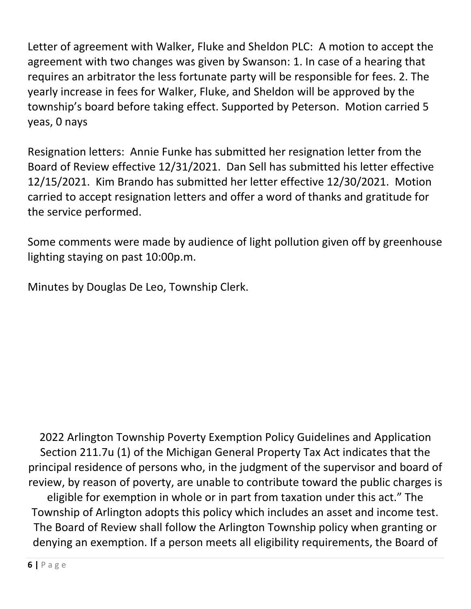Letter of agreement with Walker, Fluke and Sheldon PLC: A motion to accept the agreement with two changes was given by Swanson: 1. In case of a hearing that requires an arbitrator the less fortunate party will be responsible for fees. 2. The yearly increase in fees for Walker, Fluke, and Sheldon will be approved by the township's board before taking effect. Supported by Peterson. Motion carried 5 yeas, 0 nays

Resignation letters: Annie Funke has submitted her resignation letter from the Board of Review effective 12/31/2021. Dan Sell has submitted his letter effective 12/15/2021. Kim Brando has submitted her letter effective 12/30/2021. Motion carried to accept resignation letters and offer a word of thanks and gratitude for the service performed.

Some comments were made by audience of light pollution given off by greenhouse lighting staying on past 10:00p.m.

Minutes by Douglas De Leo, Township Clerk.

2022 Arlington Township Poverty Exemption Policy Guidelines and Application Section 211.7u (1) of the Michigan General Property Tax Act indicates that the principal residence of persons who, in the judgment of the supervisor and board of review, by reason of poverty, are unable to contribute toward the public charges is eligible for exemption in whole or in part from taxation under this act." The Township of Arlington adopts this policy which includes an asset and income test. The Board of Review shall follow the Arlington Township policy when granting or denying an exemption. If a person meets all eligibility requirements, the Board of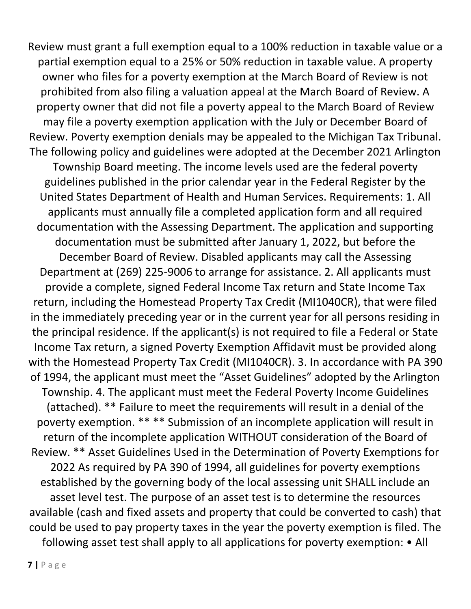Review must grant a full exemption equal to a 100% reduction in taxable value or a partial exemption equal to a 25% or 50% reduction in taxable value. A property owner who files for a poverty exemption at the March Board of Review is not prohibited from also filing a valuation appeal at the March Board of Review. A property owner that did not file a poverty appeal to the March Board of Review may file a poverty exemption application with the July or December Board of Review. Poverty exemption denials may be appealed to the Michigan Tax Tribunal. The following policy and guidelines were adopted at the December 2021 Arlington Township Board meeting. The income levels used are the federal poverty guidelines published in the prior calendar year in the Federal Register by the United States Department of Health and Human Services. Requirements: 1. All applicants must annually file a completed application form and all required documentation with the Assessing Department. The application and supporting documentation must be submitted after January 1, 2022, but before the December Board of Review. Disabled applicants may call the Assessing Department at (269) 225-9006 to arrange for assistance. 2. All applicants must provide a complete, signed Federal Income Tax return and State Income Tax return, including the Homestead Property Tax Credit (MI1040CR), that were filed in the immediately preceding year or in the current year for all persons residing in the principal residence. If the applicant(s) is not required to file a Federal or State Income Tax return, a signed Poverty Exemption Affidavit must be provided along with the Homestead Property Tax Credit (MI1040CR). 3. In accordance with PA 390 of 1994, the applicant must meet the "Asset Guidelines" adopted by the Arlington Township. 4. The applicant must meet the Federal Poverty Income Guidelines (attached). \*\* Failure to meet the requirements will result in a denial of the poverty exemption. \*\* \*\* Submission of an incomplete application will result in return of the incomplete application WITHOUT consideration of the Board of Review. \*\* Asset Guidelines Used in the Determination of Poverty Exemptions for 2022 As required by PA 390 of 1994, all guidelines for poverty exemptions established by the governing body of the local assessing unit SHALL include an asset level test. The purpose of an asset test is to determine the resources available (cash and fixed assets and property that could be converted to cash) that could be used to pay property taxes in the year the poverty exemption is filed. The following asset test shall apply to all applications for poverty exemption: • All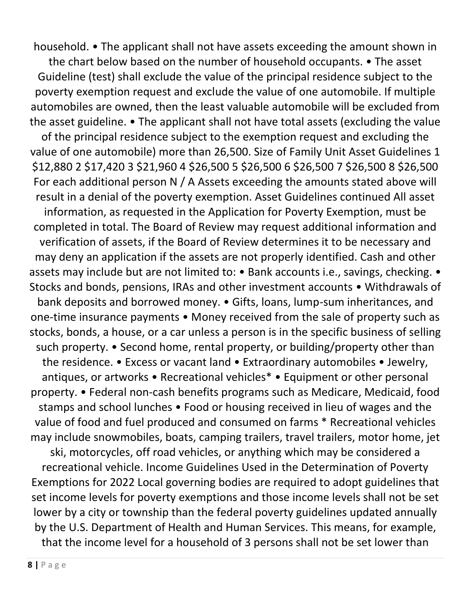household. • The applicant shall not have assets exceeding the amount shown in

the chart below based on the number of household occupants. • The asset Guideline (test) shall exclude the value of the principal residence subject to the poverty exemption request and exclude the value of one automobile. If multiple automobiles are owned, then the least valuable automobile will be excluded from the asset guideline. • The applicant shall not have total assets (excluding the value

of the principal residence subject to the exemption request and excluding the value of one automobile) more than 26,500. Size of Family Unit Asset Guidelines 1 \$12,880 2 \$17,420 3 \$21,960 4 \$26,500 5 \$26,500 6 \$26,500 7 \$26,500 8 \$26,500 For each additional person N / A Assets exceeding the amounts stated above will result in a denial of the poverty exemption. Asset Guidelines continued All asset information, as requested in the Application for Poverty Exemption, must be

completed in total. The Board of Review may request additional information and verification of assets, if the Board of Review determines it to be necessary and may deny an application if the assets are not properly identified. Cash and other assets may include but are not limited to: • Bank accounts i.e., savings, checking. • Stocks and bonds, pensions, IRAs and other investment accounts • Withdrawals of bank deposits and borrowed money. • Gifts, loans, lump-sum inheritances, and one-time insurance payments • Money received from the sale of property such as stocks, bonds, a house, or a car unless a person is in the specific business of selling such property. • Second home, rental property, or building/property other than the residence. • Excess or vacant land • Extraordinary automobiles • Jewelry, antiques, or artworks • Recreational vehicles\* • Equipment or other personal property. • Federal non-cash benefits programs such as Medicare, Medicaid, food stamps and school lunches • Food or housing received in lieu of wages and the value of food and fuel produced and consumed on farms \* Recreational vehicles may include snowmobiles, boats, camping trailers, travel trailers, motor home, jet ski, motorcycles, off road vehicles, or anything which may be considered a recreational vehicle. Income Guidelines Used in the Determination of Poverty Exemptions for 2022 Local governing bodies are required to adopt guidelines that set income levels for poverty exemptions and those income levels shall not be set lower by a city or township than the federal poverty guidelines updated annually by the U.S. Department of Health and Human Services. This means, for example, that the income level for a household of 3 persons shall not be set lower than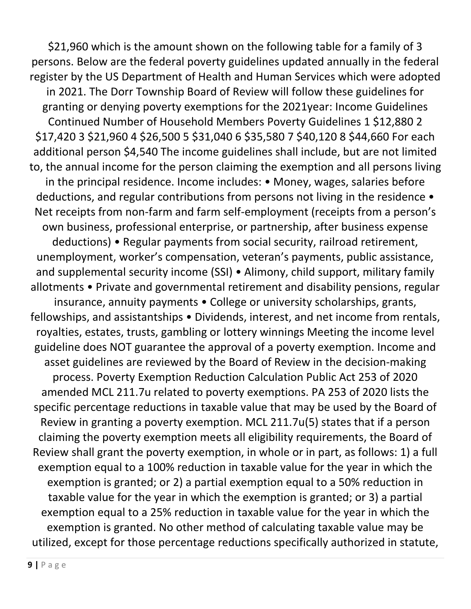\$21,960 which is the amount shown on the following table for a family of 3 persons. Below are the federal poverty guidelines updated annually in the federal register by the US Department of Health and Human Services which were adopted in 2021. The Dorr Township Board of Review will follow these guidelines for granting or denying poverty exemptions for the 2021year: Income Guidelines Continued Number of Household Members Poverty Guidelines 1 \$12,880 2 \$17,420 3 \$21,960 4 \$26,500 5 \$31,040 6 \$35,580 7 \$40,120 8 \$44,660 For each additional person \$4,540 The income guidelines shall include, but are not limited to, the annual income for the person claiming the exemption and all persons living in the principal residence. Income includes: • Money, wages, salaries before deductions, and regular contributions from persons not living in the residence • Net receipts from non-farm and farm self-employment (receipts from a person's own business, professional enterprise, or partnership, after business expense deductions) • Regular payments from social security, railroad retirement, unemployment, worker's compensation, veteran's payments, public assistance, and supplemental security income (SSI) • Alimony, child support, military family allotments • Private and governmental retirement and disability pensions, regular insurance, annuity payments • College or university scholarships, grants, fellowships, and assistantships • Dividends, interest, and net income from rentals, royalties, estates, trusts, gambling or lottery winnings Meeting the income level guideline does NOT guarantee the approval of a poverty exemption. Income and asset guidelines are reviewed by the Board of Review in the decision-making process. Poverty Exemption Reduction Calculation Public Act 253 of 2020 amended MCL 211.7u related to poverty exemptions. PA 253 of 2020 lists the specific percentage reductions in taxable value that may be used by the Board of Review in granting a poverty exemption. MCL 211.7u(5) states that if a person claiming the poverty exemption meets all eligibility requirements, the Board of Review shall grant the poverty exemption, in whole or in part, as follows: 1) a full exemption equal to a 100% reduction in taxable value for the year in which the exemption is granted; or 2) a partial exemption equal to a 50% reduction in taxable value for the year in which the exemption is granted; or 3) a partial exemption equal to a 25% reduction in taxable value for the year in which the exemption is granted. No other method of calculating taxable value may be utilized, except for those percentage reductions specifically authorized in statute,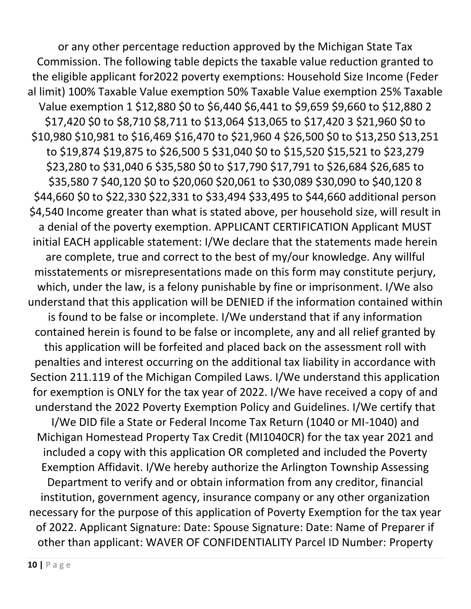or any other percentage reduction approved by the Michigan State Tax Commission. The following table depicts the taxable value reduction granted to the eligible applicant for2022 poverty exemptions: Household Size Income (Feder al limit) 100% Taxable Value exemption 50% Taxable Value exemption 25% Taxable Value exemption 1 \$12,880 \$0 to \$6,440 \$6,441 to \$9,659 \$9,660 to \$12,880 2 \$17,420 \$0 to \$8,710 \$8,711 to \$13,064 \$13,065 to \$17,420 3 \$21,960 \$0 to \$10,980 \$10,981 to \$16,469 \$16,470 to \$21,960 4 \$26,500 \$0 to \$13,250 \$13,251 to \$19,874 \$19,875 to \$26,500 5 \$31,040 \$0 to \$15,520 \$15,521 to \$23,279 \$23,280 to \$31,040 6 \$35,580 \$0 to \$17,790 \$17,791 to \$26,684 \$26,685 to \$35,580 7 \$40,120 \$0 to \$20,060 \$20,061 to \$30,089 \$30,090 to \$40,120 8 \$44,660 \$0 to \$22,330 \$22,331 to \$33,494 \$33,495 to \$44,660 additional person \$4,540 Income greater than what is stated above, per household size, will result in a denial of the poverty exemption. APPLICANT CERTIFICATION Applicant MUST initial EACH applicable statement: I/We declare that the statements made herein are complete, true and correct to the best of my/our knowledge. Any willful misstatements or misrepresentations made on this form may constitute perjury, which, under the law, is a felony punishable by fine or imprisonment. I/We also understand that this application will be DENIED if the information contained within is found to be false or incomplete. I/We understand that if any information contained herein is found to be false or incomplete, any and all relief granted by this application will be forfeited and placed back on the assessment roll with penalties and interest occurring on the additional tax liability in accordance with Section 211.119 of the Michigan Compiled Laws. I/We understand this application for exemption is ONLY for the tax year of 2022. I/We have received a copy of and understand the 2022 Poverty Exemption Policy and Guidelines. I/We certify that I/We DID file a State or Federal Income Tax Return (1040 or MI-1040) and Michigan Homestead Property Tax Credit (MI1040CR) for the tax year 2021 and included a copy with this application OR completed and included the Poverty Exemption Affidavit. I/We hereby authorize the Arlington Township Assessing Department to verify and or obtain information from any creditor, financial institution, government agency, insurance company or any other organization necessary for the purpose of this application of Poverty Exemption for the tax year of 2022. Applicant Signature: Date: Spouse Signature: Date: Name of Preparer if other than applicant: WAVER OF CONFIDENTIALITY Parcel ID Number: Property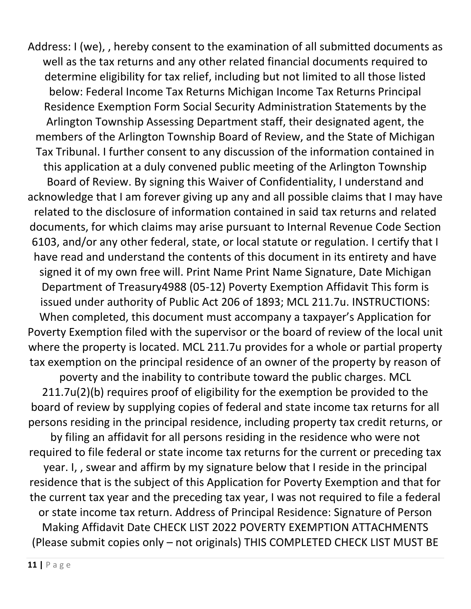Address: I (we), , hereby consent to the examination of all submitted documents as well as the tax returns and any other related financial documents required to determine eligibility for tax relief, including but not limited to all those listed below: Federal Income Tax Returns Michigan Income Tax Returns Principal Residence Exemption Form Social Security Administration Statements by the Arlington Township Assessing Department staff, their designated agent, the members of the Arlington Township Board of Review, and the State of Michigan Tax Tribunal. I further consent to any discussion of the information contained in this application at a duly convened public meeting of the Arlington Township Board of Review. By signing this Waiver of Confidentiality, I understand and acknowledge that I am forever giving up any and all possible claims that I may have related to the disclosure of information contained in said tax returns and related documents, for which claims may arise pursuant to Internal Revenue Code Section 6103, and/or any other federal, state, or local statute or regulation. I certify that I have read and understand the contents of this document in its entirety and have signed it of my own free will. Print Name Print Name Signature, Date Michigan Department of Treasury4988 (05-12) Poverty Exemption Affidavit This form is issued under authority of Public Act 206 of 1893; MCL 211.7u. INSTRUCTIONS: When completed, this document must accompany a taxpayer's Application for Poverty Exemption filed with the supervisor or the board of review of the local unit where the property is located. MCL 211.7u provides for a whole or partial property tax exemption on the principal residence of an owner of the property by reason of poverty and the inability to contribute toward the public charges. MCL 211.7u(2)(b) requires proof of eligibility for the exemption be provided to the board of review by supplying copies of federal and state income tax returns for all persons residing in the principal residence, including property tax credit returns, or by filing an affidavit for all persons residing in the residence who were not required to file federal or state income tax returns for the current or preceding tax year. I, , swear and affirm by my signature below that I reside in the principal residence that is the subject of this Application for Poverty Exemption and that for the current tax year and the preceding tax year, I was not required to file a federal or state income tax return. Address of Principal Residence: Signature of Person Making Affidavit Date CHECK LIST 2022 POVERTY EXEMPTION ATTACHMENTS (Please submit copies only – not originals) THIS COMPLETED CHECK LIST MUST BE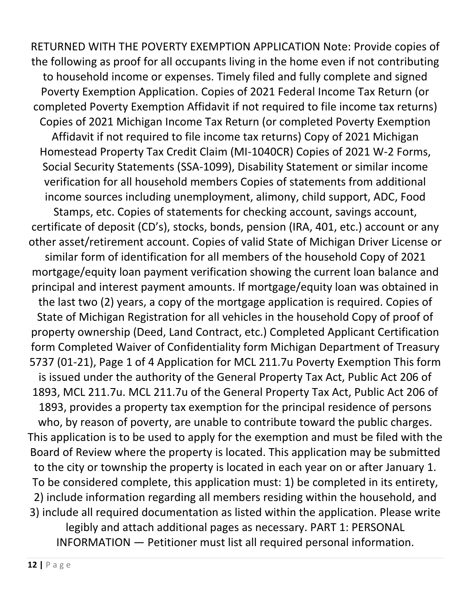RETURNED WITH THE POVERTY EXEMPTION APPLICATION Note: Provide copies of the following as proof for all occupants living in the home even if not contributing to household income or expenses. Timely filed and fully complete and signed Poverty Exemption Application. Copies of 2021 Federal Income Tax Return (or completed Poverty Exemption Affidavit if not required to file income tax returns) Copies of 2021 Michigan Income Tax Return (or completed Poverty Exemption Affidavit if not required to file income tax returns) Copy of 2021 Michigan Homestead Property Tax Credit Claim (MI-1040CR) Copies of 2021 W-2 Forms, Social Security Statements (SSA-1099), Disability Statement or similar income verification for all household members Copies of statements from additional income sources including unemployment, alimony, child support, ADC, Food Stamps, etc. Copies of statements for checking account, savings account, certificate of deposit (CD's), stocks, bonds, pension (IRA, 401, etc.) account or any other asset/retirement account. Copies of valid State of Michigan Driver License or similar form of identification for all members of the household Copy of 2021 mortgage/equity loan payment verification showing the current loan balance and principal and interest payment amounts. If mortgage/equity loan was obtained in the last two (2) years, a copy of the mortgage application is required. Copies of State of Michigan Registration for all vehicles in the household Copy of proof of property ownership (Deed, Land Contract, etc.) Completed Applicant Certification form Completed Waiver of Confidentiality form Michigan Department of Treasury 5737 (01-21), Page 1 of 4 Application for MCL 211.7u Poverty Exemption This form is issued under the authority of the General Property Tax Act, Public Act 206 of 1893, MCL 211.7u. MCL 211.7u of the General Property Tax Act, Public Act 206 of 1893, provides a property tax exemption for the principal residence of persons who, by reason of poverty, are unable to contribute toward the public charges. This application is to be used to apply for the exemption and must be filed with the Board of Review where the property is located. This application may be submitted to the city or township the property is located in each year on or after January 1. To be considered complete, this application must: 1) be completed in its entirety, 2) include information regarding all members residing within the household, and 3) include all required documentation as listed within the application. Please write legibly and attach additional pages as necessary. PART 1: PERSONAL INFORMATION — Petitioner must list all required personal information.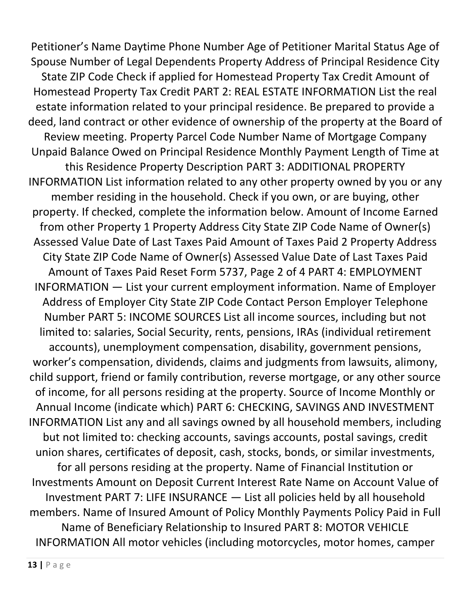Petitioner's Name Daytime Phone Number Age of Petitioner Marital Status Age of Spouse Number of Legal Dependents Property Address of Principal Residence City State ZIP Code Check if applied for Homestead Property Tax Credit Amount of Homestead Property Tax Credit PART 2: REAL ESTATE INFORMATION List the real estate information related to your principal residence. Be prepared to provide a deed, land contract or other evidence of ownership of the property at the Board of Review meeting. Property Parcel Code Number Name of Mortgage Company Unpaid Balance Owed on Principal Residence Monthly Payment Length of Time at this Residence Property Description PART 3: ADDITIONAL PROPERTY INFORMATION List information related to any other property owned by you or any member residing in the household. Check if you own, or are buying, other property. If checked, complete the information below. Amount of Income Earned from other Property 1 Property Address City State ZIP Code Name of Owner(s) Assessed Value Date of Last Taxes Paid Amount of Taxes Paid 2 Property Address City State ZIP Code Name of Owner(s) Assessed Value Date of Last Taxes Paid Amount of Taxes Paid Reset Form 5737, Page 2 of 4 PART 4: EMPLOYMENT INFORMATION — List your current employment information. Name of Employer Address of Employer City State ZIP Code Contact Person Employer Telephone Number PART 5: INCOME SOURCES List all income sources, including but not limited to: salaries, Social Security, rents, pensions, IRAs (individual retirement accounts), unemployment compensation, disability, government pensions, worker's compensation, dividends, claims and judgments from lawsuits, alimony, child support, friend or family contribution, reverse mortgage, or any other source of income, for all persons residing at the property. Source of Income Monthly or Annual Income (indicate which) PART 6: CHECKING, SAVINGS AND INVESTMENT INFORMATION List any and all savings owned by all household members, including but not limited to: checking accounts, savings accounts, postal savings, credit union shares, certificates of deposit, cash, stocks, bonds, or similar investments, for all persons residing at the property. Name of Financial Institution or Investments Amount on Deposit Current Interest Rate Name on Account Value of Investment PART 7: LIFE INSURANCE — List all policies held by all household members. Name of Insured Amount of Policy Monthly Payments Policy Paid in Full Name of Beneficiary Relationship to Insured PART 8: MOTOR VEHICLE INFORMATION All motor vehicles (including motorcycles, motor homes, camper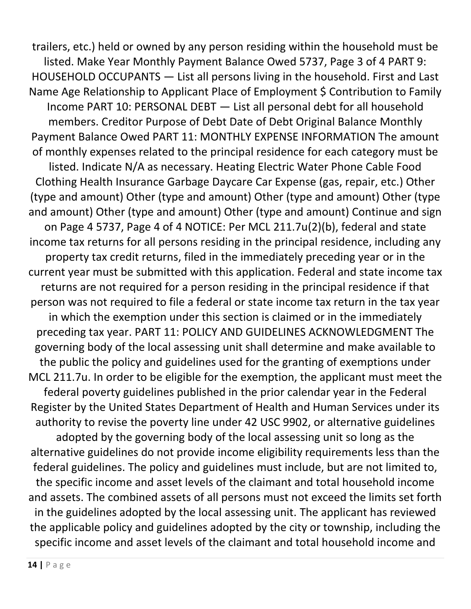trailers, etc.) held or owned by any person residing within the household must be listed. Make Year Monthly Payment Balance Owed 5737, Page 3 of 4 PART 9: HOUSEHOLD OCCUPANTS — List all persons living in the household. First and Last Name Age Relationship to Applicant Place of Employment \$ Contribution to Family Income PART 10: PERSONAL DEBT — List all personal debt for all household members. Creditor Purpose of Debt Date of Debt Original Balance Monthly Payment Balance Owed PART 11: MONTHLY EXPENSE INFORMATION The amount of monthly expenses related to the principal residence for each category must be listed. Indicate N/A as necessary. Heating Electric Water Phone Cable Food Clothing Health Insurance Garbage Daycare Car Expense (gas, repair, etc.) Other (type and amount) Other (type and amount) Other (type and amount) Other (type and amount) Other (type and amount) Other (type and amount) Continue and sign on Page 4 5737, Page 4 of 4 NOTICE: Per MCL 211.7u(2)(b), federal and state income tax returns for all persons residing in the principal residence, including any property tax credit returns, filed in the immediately preceding year or in the current year must be submitted with this application. Federal and state income tax returns are not required for a person residing in the principal residence if that person was not required to file a federal or state income tax return in the tax year in which the exemption under this section is claimed or in the immediately preceding tax year. PART 11: POLICY AND GUIDELINES ACKNOWLEDGMENT The governing body of the local assessing unit shall determine and make available to the public the policy and guidelines used for the granting of exemptions under MCL 211.7u. In order to be eligible for the exemption, the applicant must meet the federal poverty guidelines published in the prior calendar year in the Federal Register by the United States Department of Health and Human Services under its authority to revise the poverty line under 42 USC 9902, or alternative guidelines adopted by the governing body of the local assessing unit so long as the alternative guidelines do not provide income eligibility requirements less than the federal guidelines. The policy and guidelines must include, but are not limited to, the specific income and asset levels of the claimant and total household income and assets. The combined assets of all persons must not exceed the limits set forth in the guidelines adopted by the local assessing unit. The applicant has reviewed the applicable policy and guidelines adopted by the city or township, including the specific income and asset levels of the claimant and total household income and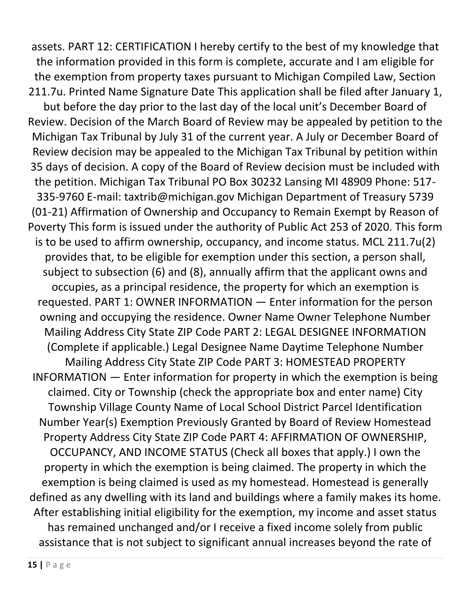assets. PART 12: CERTIFICATION I hereby certify to the best of my knowledge that the information provided in this form is complete, accurate and I am eligible for the exemption from property taxes pursuant to Michigan Compiled Law, Section 211.7u. Printed Name Signature Date This application shall be filed after January 1, but before the day prior to the last day of the local unit's December Board of Review. Decision of the March Board of Review may be appealed by petition to the Michigan Tax Tribunal by July 31 of the current year. A July or December Board of Review decision may be appealed to the Michigan Tax Tribunal by petition within 35 days of decision. A copy of the Board of Review decision must be included with the petition. Michigan Tax Tribunal PO Box 30232 Lansing MI 48909 Phone: 517- 335-9760 E-mail: taxtrib@michigan.gov Michigan Department of Treasury 5739 (01-21) Affirmation of Ownership and Occupancy to Remain Exempt by Reason of Poverty This form is issued under the authority of Public Act 253 of 2020. This form is to be used to affirm ownership, occupancy, and income status. MCL 211.7u(2) provides that, to be eligible for exemption under this section, a person shall, subject to subsection (6) and (8), annually affirm that the applicant owns and occupies, as a principal residence, the property for which an exemption is requested. PART 1: OWNER INFORMATION — Enter information for the person owning and occupying the residence. Owner Name Owner Telephone Number Mailing Address City State ZIP Code PART 2: LEGAL DESIGNEE INFORMATION (Complete if applicable.) Legal Designee Name Daytime Telephone Number Mailing Address City State ZIP Code PART 3: HOMESTEAD PROPERTY INFORMATION — Enter information for property in which the exemption is being claimed. City or Township (check the appropriate box and enter name) City Township Village County Name of Local School District Parcel Identification Number Year(s) Exemption Previously Granted by Board of Review Homestead Property Address City State ZIP Code PART 4: AFFIRMATION OF OWNERSHIP, OCCUPANCY, AND INCOME STATUS (Check all boxes that apply.) I own the property in which the exemption is being claimed. The property in which the exemption is being claimed is used as my homestead. Homestead is generally defined as any dwelling with its land and buildings where a family makes its home. After establishing initial eligibility for the exemption, my income and asset status has remained unchanged and/or I receive a fixed income solely from public assistance that is not subject to significant annual increases beyond the rate of